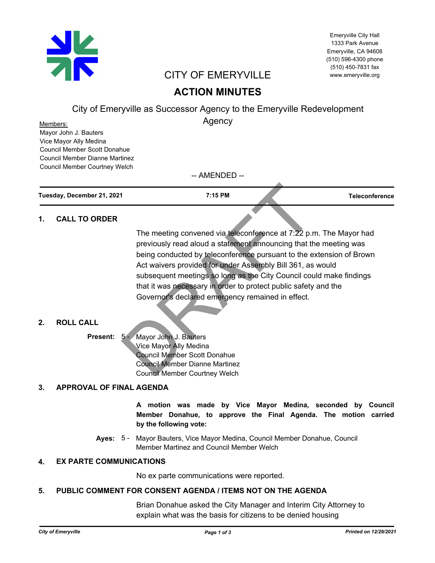

Emeryville City Hall 1333 Park Avenue Emeryville, CA 94608 (510) 596-4300 phone (510) 450-7831 fax www.emeryville.org

# CITY OF EMERYVILLE

# **ACTION MINUTES**

City of Emeryville as Successor Agency to the Emeryville Redevelopment

Agency

Mayor John J. Bauters Vice Mayor Ally Medina Council Member Scott Donahue Council Member Dianne Martinez Council Member Courtney Welch Members:

-- AMENDED --

**Tuesday, December 21, 2021 7:15 PM Teleconference**

## **1. CALL TO ORDER**

The meeting convened via teleconference at 7:22 p.m. The Mayor had previously read aloud a statement announcing that the meeting was being conducted by teleconference pursuant to the extension of Brown Act waivers provided for under Assembly Bill 361, as would subsequent meetings so long as the City Council could make findings that it was necessary in order to protect public safety and the Governor's declared emergency remained in effect. 7:15 PM<br>
The meeting convened via teleconference at 7:22 p.r<br>
previously read aloud a statement announcing that the<br>
being conducted by teleconference pursuant to the e<br>
Act waivers provided for under Assembly Bill 361, as

## **2. ROLL CALL**

Present: 5 - Mayor John J. Bauters Vice Mayor Ally Medina Council Member Scott Donahue Council Member Dianne Martinez Council Member Courtney Welch

# **3. APPROVAL OF FINAL AGENDA**

**A motion was made by Vice Mayor Medina, seconded by Council Member Donahue, to approve the Final Agenda. The motion carried by the following vote:**

Ayes: 5 - Mayor Bauters, Vice Mayor Medina, Council Member Donahue, Council Member Martinez and Council Member Welch

# **4. EX PARTE COMMUNICATIONS**

No ex parte communications were reported.

## **5. PUBLIC COMMENT FOR CONSENT AGENDA / ITEMS NOT ON THE AGENDA**

Brian Donahue asked the City Manager and Interim City Attorney to explain what was the basis for citizens to be denied housing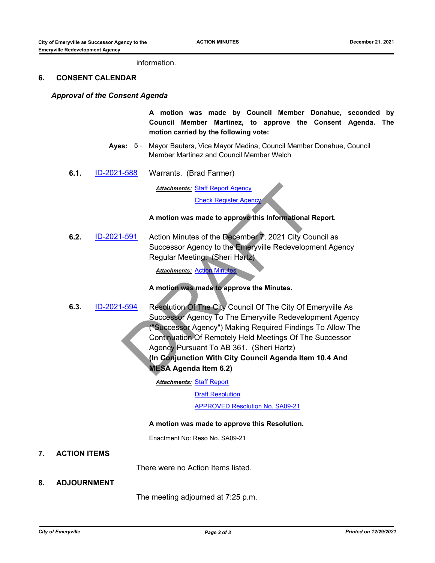### information.

#### **6. CONSENT CALENDAR**

#### *Approval of the Consent Agenda*

**A motion was made by Council Member Donahue, seconded by Council Member Martinez, to approve the Consent Agenda. The motion carried by the following vote:**

- Ayes: 5 Mayor Bauters, Vice Mayor Medina, Council Member Donahue, Council Member Martinez and Council Member Welch
- **6.1.** [ID-2021-588](http://emeryville.legistar.com/gateway.aspx?m=l&id=/matter.aspx?key=6895) Warrants. (Brad Farmer)

<u>Attachments: Staff Report Agencγ</u>

Check Register Agency

#### **A motion was made to approve this Informational Report.**

**6.2.** [ID-2021-591](http://emeryville.legistar.com/gateway.aspx?m=l&id=/matter.aspx?key=6898) Action Minutes of the December 7, 2021 City Council as Successor Agency to the Emeryville Redevelopment Agency Regular Meeting. (Sheri Hartz)

*Attachments:* Action Minutes

**A motion was made to approve the Minutes.**

**6.3.** [ID-2021-594](http://emeryville.legistar.com/gateway.aspx?m=l&id=/matter.aspx?key=6901) Resolution Of The City Council Of The City Of Emeryville As Successor Agency To The Emeryville Redevelopment Agency ("Successor Agency") Making Required Findings To Allow The Continuation Of Remotely Held Meetings Of The Successor Agency Pursuant To AB 361. (Sheri Hartz) **(In Conjunction With City Council Agenda Item 10.4 And MESA Agenda Item 6.2)** Attachments: Staff Report Agency<br>
Check Register Agency<br>
A motion was made to approve this Informational F<br>
-591<br>
Action Minutes of the December 7, 2021 City Cou<br>
Successor Agency to the Emeryville Redevelopm<br>
Regular Meet

<u>Attachments: [Staff Report](http://emeryville.legistar.com/gateway.aspx?M=F&ID=75ca859c-bf6a-4d6b-b097-5b2a4aa12e21.docx)</u>

**[Draft Resolution](http://emeryville.legistar.com/gateway.aspx?M=F&ID=2385a91f-7ca0-402d-a5e8-555d9cde19a2.pdf)** 

[APPROVED Resolution No. SA09-21](http://emeryville.legistar.com/gateway.aspx?M=F&ID=6d527e7c-1792-4e58-b529-017ef08e44fd.pdf)

#### **A motion was made to approve this Resolution.**

Enactment No: Reso No. SA09-21

## **7. ACTION ITEMS**

There were no Action Items listed.

### **8. ADJOURNMENT**

The meeting adjourned at 7:25 p.m.